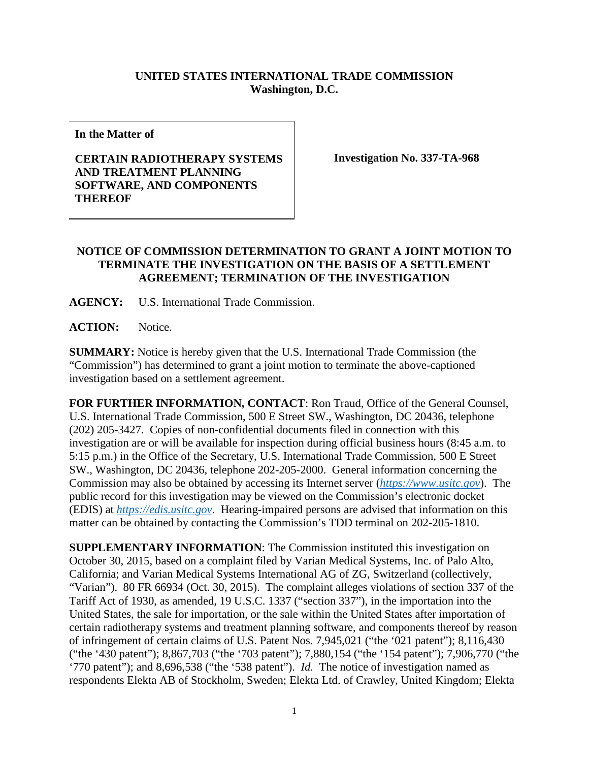## **UNITED STATES INTERNATIONAL TRADE COMMISSION Washington, D.C.**

**In the Matter of**

## **CERTAIN RADIOTHERAPY SYSTEMS AND TREATMENT PLANNING SOFTWARE, AND COMPONENTS THEREOF**

**Investigation No. 337-TA-968**

## **NOTICE OF COMMISSION DETERMINATION TO GRANT A JOINT MOTION TO TERMINATE THE INVESTIGATION ON THE BASIS OF A SETTLEMENT AGREEMENT; TERMINATION OF THE INVESTIGATION**

**AGENCY:** U.S. International Trade Commission.

ACTION: Notice.

**SUMMARY:** Notice is hereby given that the U.S. International Trade Commission (the "Commission") has determined to grant a joint motion to terminate the above-captioned investigation based on a settlement agreement.

**FOR FURTHER INFORMATION, CONTACT**: Ron Traud, Office of the General Counsel, U.S. International Trade Commission, 500 E Street SW., Washington, DC 20436, telephone (202) 205-3427. Copies of non-confidential documents filed in connection with this investigation are or will be available for inspection during official business hours (8:45 a.m. to 5:15 p.m.) in the Office of the Secretary, U.S. International Trade Commission, 500 E Street SW., Washington, DC 20436, telephone 202-205-2000. General information concerning the Commission may also be obtained by accessing its Internet server (*[https://www.usitc.gov](https://www.usitc.gov/)*). The public record for this investigation may be viewed on the Commission's electronic docket (EDIS) at *[https://edis.usitc.gov](https://edis.usitc.gov/)*. Hearing-impaired persons are advised that information on this matter can be obtained by contacting the Commission's TDD terminal on 202-205-1810.

**SUPPLEMENTARY INFORMATION**: The Commission instituted this investigation on October 30, 2015, based on a complaint filed by Varian Medical Systems, Inc. of Palo Alto, California; and Varian Medical Systems International AG of ZG, Switzerland (collectively, "Varian"). 80 FR 66934 (Oct. 30, 2015). The complaint alleges violations of section 337 of the Tariff Act of 1930, as amended, 19 U.S.C. 1337 ("section 337"), in the importation into the United States, the sale for importation, or the sale within the United States after importation of certain radiotherapy systems and treatment planning software, and components thereof by reason of infringement of certain claims of U.S. Patent Nos. 7,945,021 ("the '021 patent"); 8,116,430 ("the '430 patent"); 8,867,703 ("the '703 patent"); 7,880,154 ("the '154 patent"); 7,906,770 ("the '770 patent"); and 8,696,538 ("the '538 patent"). *Id.* The notice of investigation named as respondents Elekta AB of Stockholm, Sweden; Elekta Ltd. of Crawley, United Kingdom; Elekta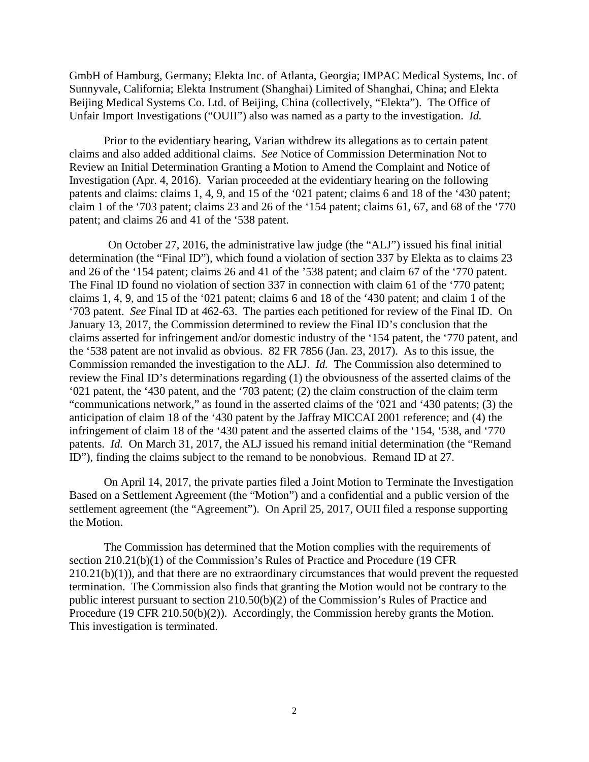GmbH of Hamburg, Germany; Elekta Inc. of Atlanta, Georgia; IMPAC Medical Systems, Inc. of Sunnyvale, California; Elekta Instrument (Shanghai) Limited of Shanghai, China; and Elekta Beijing Medical Systems Co. Ltd. of Beijing, China (collectively, "Elekta"). The Office of Unfair Import Investigations ("OUII") also was named as a party to the investigation. *Id.*

Prior to the evidentiary hearing, Varian withdrew its allegations as to certain patent claims and also added additional claims. *See* Notice of Commission Determination Not to Review an Initial Determination Granting a Motion to Amend the Complaint and Notice of Investigation (Apr. 4, 2016). Varian proceeded at the evidentiary hearing on the following patents and claims: claims 1, 4, 9, and 15 of the '021 patent; claims 6 and 18 of the '430 patent; claim 1 of the '703 patent; claims 23 and 26 of the '154 patent; claims 61, 67, and 68 of the '770 patent; and claims 26 and 41 of the '538 patent.

On October 27, 2016, the administrative law judge (the "ALJ") issued his final initial determination (the "Final ID"), which found a violation of section 337 by Elekta as to claims 23 and 26 of the '154 patent; claims 26 and 41 of the '538 patent; and claim 67 of the '770 patent. The Final ID found no violation of section 337 in connection with claim 61 of the '770 patent; claims 1, 4, 9, and 15 of the '021 patent; claims 6 and 18 of the '430 patent; and claim 1 of the '703 patent. *See* Final ID at 462-63. The parties each petitioned for review of the Final ID. On January 13, 2017, the Commission determined to review the Final ID's conclusion that the claims asserted for infringement and/or domestic industry of the '154 patent, the '770 patent, and the '538 patent are not invalid as obvious. 82 FR 7856 (Jan. 23, 2017). As to this issue, the Commission remanded the investigation to the ALJ. *Id.* The Commission also determined to review the Final ID's determinations regarding (1) the obviousness of the asserted claims of the '021 patent, the '430 patent, and the '703 patent; (2) the claim construction of the claim term "communications network," as found in the asserted claims of the '021 and '430 patents; (3) the anticipation of claim 18 of the '430 patent by the Jaffray MICCAI 2001 reference; and (4) the infringement of claim 18 of the '430 patent and the asserted claims of the '154, '538, and '770 patents. *Id.* On March 31, 2017, the ALJ issued his remand initial determination (the "Remand ID"), finding the claims subject to the remand to be nonobvious. Remand ID at 27.

On April 14, 2017, the private parties filed a Joint Motion to Terminate the Investigation Based on a Settlement Agreement (the "Motion") and a confidential and a public version of the settlement agreement (the "Agreement"). On April 25, 2017, OUII filed a response supporting the Motion.

The Commission has determined that the Motion complies with the requirements of section 210.21(b)(1) of the Commission's Rules of Practice and Procedure (19 CFR 210.21(b)(1)), and that there are no extraordinary circumstances that would prevent the requested termination. The Commission also finds that granting the Motion would not be contrary to the public interest pursuant to section 210.50(b)(2) of the Commission's Rules of Practice and Procedure (19 CFR 210.50(b)(2)). Accordingly, the Commission hereby grants the Motion. This investigation is terminated.